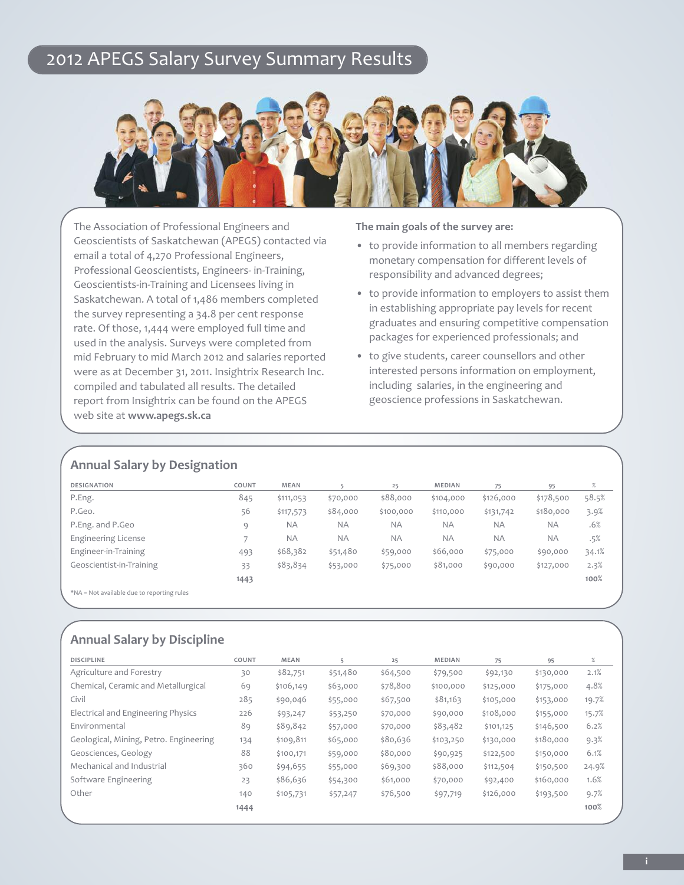## 2012 APEGS Salary Survey Summary Results



the Association of Professional Engineers and Geoscientists of Saskatchewan (APEGS) contacted via email a total of 4,270 Professional Engineers, Professional Geoscientists, Engineers- in-Training, Geoscientists-in-Training and Licensees living in Saskatchewan. A total of 1,486 members completed the survey representing a 34.8 per cent response rate. Of those, 1,444 were employed full time and used in the analysis. Surveys were completed from mid February to mid march 2012 and salaries reported were as at December 31, 2011. Insightrix Research Inc. compiled and tabulated all results. The detailed report from Insightrix can be found on the APEGS web site at **www.apegs.sk.ca**

**The main goals of the survey are:**

- to provide information to all members regarding monetary compensation for different levels of responsibility and advanced degrees;
- to provide information to employers to assist them in establishing appropriate pay levels for recent graduates and ensuring competitive compensation packages for experienced professionals; and
- to give students, career counsellors and other interested persons information on employment, including salaries, in the engineering and geoscience professions in Saskatchewan.

### **Annual Salary by Designation**

| <b>DESIGNATION</b>                                                                                                                                                                                                            | COUNT | <b>MEAN</b> |           | 25        | <b>MEDIAN</b> | 75        | 95        | %     |
|-------------------------------------------------------------------------------------------------------------------------------------------------------------------------------------------------------------------------------|-------|-------------|-----------|-----------|---------------|-----------|-----------|-------|
| P.Eng.                                                                                                                                                                                                                        | 845   | \$111,053   | \$70,000  | \$88,000  | \$104,000     | \$126,000 | \$178,500 | 58.5% |
| P.Geo.                                                                                                                                                                                                                        | 56    | \$117,573   | \$84,000  | \$100,000 | \$110,000     | \$131,742 | \$180,000 | 3.9%  |
| P.Eng. and P.Geo                                                                                                                                                                                                              | 9     | <b>NA</b>   | <b>NA</b> | <b>NA</b> | <b>NA</b>     | <b>NA</b> | <b>NA</b> | .6%   |
| <b>Engineering License</b>                                                                                                                                                                                                    |       | <b>NA</b>   | <b>NA</b> | <b>NA</b> | <b>NA</b>     | <b>NA</b> | <b>NA</b> | .5%   |
| Engineer-in-Training                                                                                                                                                                                                          | 493   | \$68,382    | \$51,480  | \$59,000  | \$66,000      | \$75,000  | \$90,000  | 34.1% |
| Geoscientist-in-Training                                                                                                                                                                                                      | 33    | \$83,834    | \$53,000  | \$75,000  | \$81,000      | \$90,000  | \$127,000 | 2.3%  |
|                                                                                                                                                                                                                               | 1443  |             |           |           |               |           |           | 100%  |
| where we are the first the second property of the second second property of the second second second second second second second second second second second second second second second second second second second second s |       |             |           |           |               |           |           |       |

\*nA = not available due to reporting rules

### **Annual Salary by Discipline**

| <b>DISCIPLINE</b>                      | COUNT | MEAN      | 5        | 25       | MEDIAN    | 75        | 95        | $\%$  |
|----------------------------------------|-------|-----------|----------|----------|-----------|-----------|-----------|-------|
| Agriculture and Forestry               | 30    | \$82,751  | \$51,480 | \$64,500 | \$79,500  | \$92,130  | \$130,000 | 2.1%  |
| Chemical, Ceramic and Metallurgical    | 69    | \$106,149 | \$63,000 | \$78,800 | \$100,000 | \$125,000 | \$175,000 | 4.8%  |
| Civil                                  | 285   | \$90,046  | \$55,000 | \$67,500 | \$81,163  | \$105,000 | \$153,000 | 19.7% |
| Electrical and Engineering Physics     | 226   | \$93,247  | \$53,250 | \$70,000 | \$90,000  | \$108,000 | \$155,000 | 15.7% |
| Environmental                          | 89    | \$89,842  | \$57,000 | \$70,000 | \$83,482  | \$101,125 | \$146,500 | 6.2%  |
| Geological, Mining, Petro. Engineering | 134   | \$109,811 | \$65,000 | \$80,636 | \$103,250 | \$130,000 | \$180,000 | 9.3%  |
| Geosciences, Geology                   | 88    | \$100,171 | \$59,000 | \$80,000 | \$90,925  | \$122,500 | \$150,000 | 6.1%  |
| Mechanical and Industrial              | 360   | \$94,655  | \$55,000 | \$69,300 | \$88,000  | \$112,504 | \$150,500 | 24.9% |
| Software Engineering                   | 23    | \$86,636  | \$54,300 | \$61,000 | \$70,000  | \$92,400  | \$160,000 | 1.6%  |
| Other                                  | 140   | \$105,731 | \$57,247 | \$76,500 | \$97,719  | \$126,000 | \$193,500 | 9.7%  |
|                                        | 1444  |           |          |          |           |           |           | 100%  |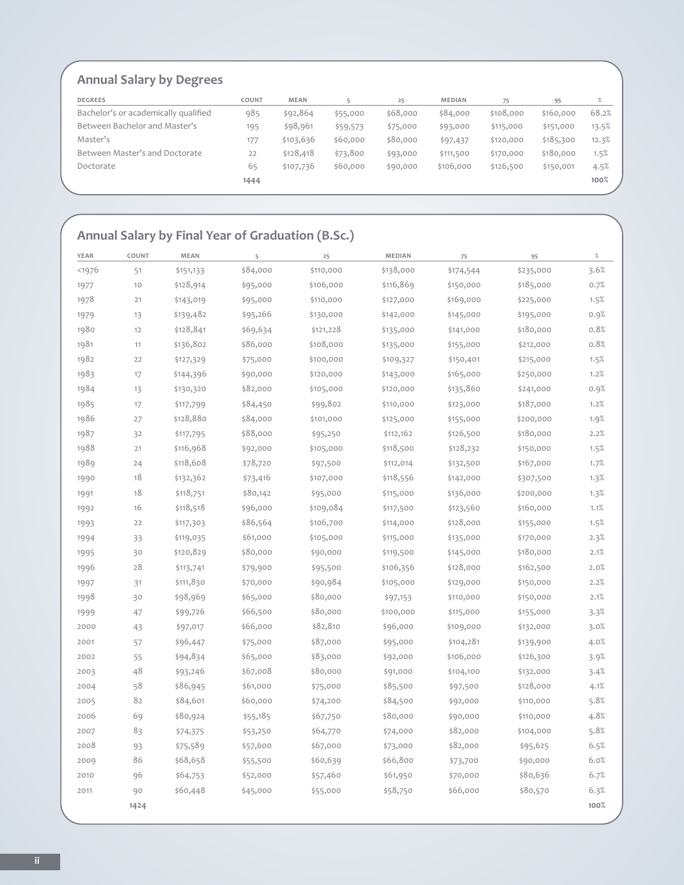## **Annual Salary by Degrees**

| <b>DEGREES</b>                       | COUNT | <b>MEAN</b> |          | 25       | <b>MEDIAN</b> | 75        | 95        | $\%$  |
|--------------------------------------|-------|-------------|----------|----------|---------------|-----------|-----------|-------|
| Bachelor's or academically qualified | 985   | \$92,864    | \$55,000 | \$68,000 | \$84,000      | \$108,000 | \$160,000 | 68.2% |
| Between Bachelor and Master's        | 195   | \$98,961    | \$59,573 | \$75,000 | \$93,000      | \$115,000 | \$151,000 | 13.5% |
| Master's                             | 177   | \$103,636   | \$60,000 | \$80,000 | \$97,437      | \$120,000 | \$185,300 | 12.3% |
| Between Master's and Doctorate       | 22    | \$128,418   | \$73,800 | \$93,000 | \$111,500     | \$170,000 | \$180,000 | 1.5%  |
| Doctorate                            | 65    | \$107,736   | \$60,000 | \$90,000 | \$106,000     | \$126,500 | \$150,001 | 4.5%  |
|                                      | 1444  |             |          |          |               |           |           | 100%  |
|                                      |       |             |          |          |               |           |           |       |

### **Annual Salary by Final year of graduation (b.Sc.)**

| YEAR   | COUNT | MEAN      | 5        | 25        | MEDIAN    | 75        | 95        | $\%$ |
|--------|-------|-----------|----------|-----------|-----------|-----------|-----------|------|
| $1976$ | 51    | \$151,133 | \$84,000 | \$110,000 | \$138,000 | \$174,544 | \$235,000 | 3.6% |
| 1977   | 10    | \$128,914 | \$95,000 | \$106,000 | \$116,869 | \$150,000 | \$185,000 | 0.7% |
| 1978   | 21    | \$143,019 | \$95,000 | \$110,000 | \$127,000 | \$169,000 | \$225,000 | 1.5% |
| 1979   | 13    | \$139,482 | \$95,266 | \$130,000 | \$142,000 | \$145,000 | \$195,000 | 0.9% |
| 1980   | 12    | \$128,841 | \$69,634 | \$121,228 | \$135,000 | \$141,000 | \$180,000 | 0.8% |
| 1981   | 11    | \$136,802 | \$86,000 | \$108,000 | \$135,000 | \$155,000 | \$212,000 | 0.8% |
| 1982   | 22    | \$127,329 | \$75,000 | \$100,000 | \$109,327 | \$150,401 | \$215,000 | 1.5% |
| 1983   | 17    | \$144,396 | \$90,000 | \$120,000 | \$143,000 | \$165,000 | \$250,000 | 1.2% |
| 1984   | 13    | \$130,320 | \$82,000 | \$105,000 | \$120,000 | \$135,860 | \$241,000 | 0.9% |
| 1985   | 17    | \$117,799 | \$84,450 | \$99,802  | \$110,000 | \$123,000 | \$187,000 | 1.2% |
| 1986   | 27    | \$128,880 | \$84,000 | \$101,000 | \$125,000 | \$155,000 | \$200,000 | 1.9% |
| 1987   | 32    | \$117,795 | \$88,000 | \$95,250  | \$112,162 | \$126,500 | \$180,000 | 2.2% |
| 1988   | 21    | \$116,968 | \$92,000 | \$105,000 | \$118,500 | \$128,232 | \$150,000 | 1.5% |
| 1989   | 24    | \$118,608 | \$78,720 | \$97,500  | \$112,014 | \$132,500 | \$167,000 | 1.7% |
| 1990   | 18    | \$132,362 | \$73,416 | \$107,000 | \$118,556 | \$142,000 | \$307,500 | 1.3% |
| 1991   | 18    | \$118,751 | \$80,142 | \$95,000  | \$115,000 | \$136,000 | \$200,000 | 1.3% |
| 1992   | 16    | \$118,518 | \$96,000 | \$109,084 | \$117,500 | \$123,560 | \$160,000 | 1.1% |
| 1993   | 22    | \$117,303 | \$86,564 | \$106,700 | \$114,000 | \$128,000 | \$155,000 | 1.5% |
| 1994   | 33    | \$119,035 | \$61,000 | \$105,000 | \$115,000 | \$135,000 | \$170,000 | 2.3% |
| 1995   | 30    | \$120,829 | \$80,000 | \$90,000  | \$119,500 | \$145,000 | \$180,000 | 2.1% |
| 1996   | 28    | \$113,741 | \$79,900 | \$95,500  | \$106,356 | \$128,000 | \$162,500 | 2.0% |
| 1997   | 31    | \$111,830 | \$70,000 | \$90,984  | \$105,000 | \$129,000 | \$150,000 | 2.2% |
| 1998   | 30    | \$98,969  | \$65,000 | \$80,000  | \$97,153  | \$110,000 | \$150,000 | 2.1% |
| 1999   | 47    | \$99,726  | \$66,500 | \$80,000  | \$100,000 | \$115,000 | \$155,000 | 3.3% |
| 2000   | 43    | \$97,017  | \$66,000 | \$82,810  | \$96,000  | \$109,000 | \$132,000 | 3.0% |
| 2001   | 57    | \$96,447  | \$75,000 | \$87,000  | \$95,000  | \$104,281 | \$139,900 | 4.0% |
| 2002   | 55    | \$94,834  | \$65,000 | \$83,000  | \$92,000  | \$106,000 | \$126,300 | 3.9% |
| 2003   | 48    | \$93,246  | \$67,008 | \$80,000  | \$91,000  | \$104,100 | \$132,000 | 3.4% |
| 2004   | 58    | \$86,945  | \$61,000 | \$75,000  | \$85,500  | \$97,500  | \$128,000 | 4.1% |
| 2005   | 82    | \$84,601  | \$60,000 | \$74,200  | \$84,500  | \$92,000  | \$110,000 | 5.8% |
| 2006   | 69    | \$80,924  | \$55,185 | \$67,750  | \$80,000  | \$90,000  | \$110,000 | 4.8% |
| 2007   | 83    | \$74,375  | \$53,250 | \$64,770  | \$74,000  | \$82,000  | \$104,000 | 5.8% |
| 2008   | 93    | \$75,589  | \$57,600 | \$67,000  | \$73,000  | \$82,000  | \$95,625  | 6.5% |
| 2009   | 86    | \$68,658  | \$55,500 | \$60,639  | \$66,800  | \$73,700  | \$90,000  | 6.0% |
| 2010   | 96    | \$64,753  | \$52,000 | \$57,460  | \$61,950  | \$70,000  | \$80,636  | 6.7% |
| 2011   | 90    | \$60,448  | \$45,000 | \$55,000  | \$58,750  | \$66,000  | \$80,570  | 6.3% |
|        | 1424  |           |          |           |           |           |           | 100% |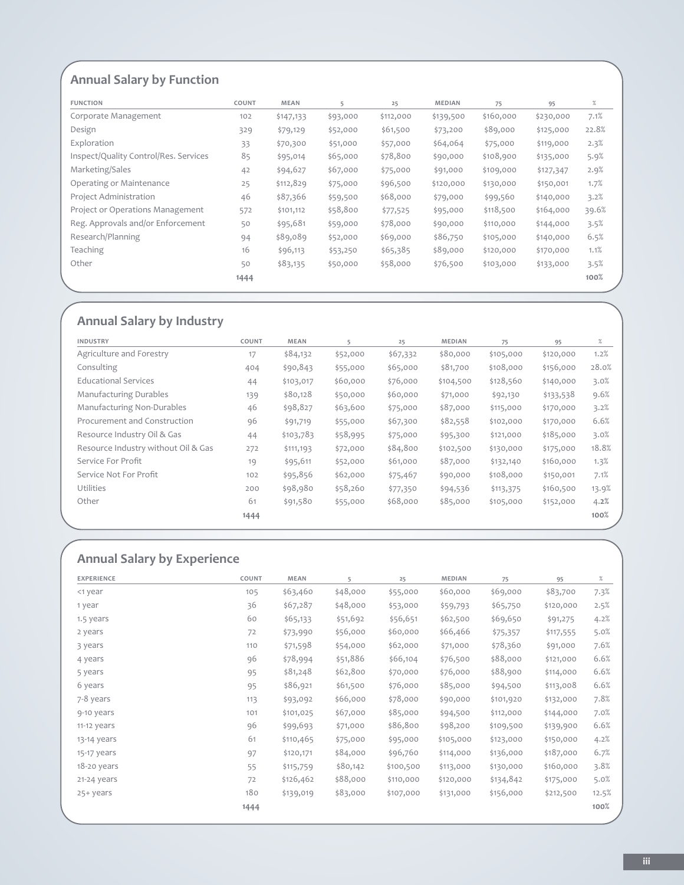## **Annual Salary by Function**

| <b>FUNCTION</b>                       | COUNT | MEAN      | 5        | 25        | MEDIAN    | 75        | 95        | $\%$  |
|---------------------------------------|-------|-----------|----------|-----------|-----------|-----------|-----------|-------|
| Corporate Management                  | 102   | \$147,133 | \$93,000 | \$112,000 | \$139,500 | \$160,000 | \$230,000 | 7.1%  |
| Design                                | 329   | \$79,129  | \$52,000 | \$61,500  | \$73,200  | \$89,000  | \$125,000 | 22.8% |
| Exploration                           | 33    | \$70,300  | \$51,000 | \$57,000  | \$64,064  | \$75,000  | \$119,000 | 2.3%  |
| Inspect/Quality Control/Res. Services | 85    | \$95,014  | \$65,000 | \$78,800  | \$90,000  | \$108,900 | \$135,000 | 5.9%  |
| Marketing/Sales                       | 42    | \$94,627  | \$67,000 | \$75,000  | \$91,000  | \$109,000 | \$127,347 | 2.9%  |
| Operating or Maintenance              | 25    | \$112,829 | \$75,000 | \$96,500  | \$120,000 | \$130,000 | \$150,001 | 1.7%  |
| Project Administration                | 46    | \$87,366  | \$59,500 | \$68,000  | \$79,000  | \$99,560  | \$140,000 | 3.2%  |
| Project or Operations Management      | 572   | \$101,112 | \$58,800 | \$77,525  | \$95,000  | \$118,500 | \$164,000 | 39.6% |
| Reg. Approvals and/or Enforcement     | 50    | \$95,681  | \$59,000 | \$78,000  | \$90,000  | \$110,000 | \$144,000 | 3.5%  |
| Research/Planning                     | 94    | \$89,089  | \$52,000 | \$69,000  | \$86,750  | \$105,000 | \$140,000 | 6.5%  |
| Teaching                              | 16    | \$96,113  | \$53,250 | \$65,385  | \$89,000  | \$120,000 | \$170,000 | 1.1%  |
| Other                                 | 50    | \$83,135  | \$50,000 | \$58,000  | \$76,500  | \$103,000 | \$133,000 | 3.5%  |
|                                       | 1444  |           |          |           |           |           |           | 100%  |

## **Annual Salary by industry**

| INDUSTRY                            | COUNT | MEAN      | 5        | 25       | MEDIAN    | 75        | 95        | $\%$  |
|-------------------------------------|-------|-----------|----------|----------|-----------|-----------|-----------|-------|
| Agriculture and Forestry            | 17    | \$84,132  | \$52,000 | \$67,332 | \$80,000  | \$105,000 | \$120,000 | 1.2%  |
| Consulting                          | 404   | \$90,843  | \$55,000 | \$65,000 | \$81,700  | \$108,000 | \$156,000 | 28.0% |
| <b>Educational Services</b>         | 44    | \$103,017 | \$60,000 | \$76,000 | \$104,500 | \$128,560 | \$140,000 | 3.0%  |
| <b>Manufacturing Durables</b>       | 139   | \$80,128  | \$50,000 | \$60,000 | \$71,000  | \$92,130  | \$133,538 | 9.6%  |
| Manufacturing Non-Durables          | 46    | \$98,827  | \$63,600 | \$75,000 | \$87,000  | \$115,000 | \$170,000 | 3.2%  |
| Procurement and Construction        | 96    | \$91,719  | \$55,000 | \$67,300 | \$82,558  | \$102,000 | \$170,000 | 6.6%  |
| Resource Industry Oil & Gas         | 44    | \$103,783 | \$58,995 | \$75,000 | \$95,300  | \$121,000 | \$185,000 | 3.0%  |
| Resource Industry without Oil & Gas | 272   | \$111,193 | \$72,000 | \$84,800 | \$102,500 | \$130,000 | \$175,000 | 18.8% |
| Service For Profit                  | 19    | \$95,611  | \$52,000 | \$61,000 | \$87,000  | \$132,140 | \$160,000 | 1.3%  |
| Service Not For Profit              | 102   | \$95,856  | \$62,000 | \$75,467 | \$90,000  | \$108,000 | \$150,001 | 7.1%  |
| Utilities                           | 200   | \$98,980  | \$58,260 | \$77,350 | \$94,536  | \$113,375 | \$160,500 | 13.9% |
| Other                               | 61    | \$91,580  | \$55,000 | \$68,000 | \$85,000  | \$105,000 | \$152,000 | 4.2%  |
|                                     | 1444  |           |          |          |           |           |           | 100%  |
|                                     |       |           |          |          |           |           |           |       |

# **Annual Salary by Experience**

| <b>EXPERIENCE</b> | COUNT | MEAN      | 5        | 25        | MEDIAN    | 75        | 95        | %     |
|-------------------|-------|-----------|----------|-----------|-----------|-----------|-----------|-------|
| <1 year           | 105   | \$63,460  | \$48,000 | \$55,000  | \$60,000  | \$69,000  | \$83,700  | 7.3%  |
| 1 year            | 36    | \$67,287  | \$48,000 | \$53,000  | \$59,793  | \$65,750  | \$120,000 | 2.5%  |
| 1.5 years         | 60    | \$65,133  | \$51,692 | \$56,651  | \$62,500  | \$69,650  | \$91,275  | 4.2%  |
| 2 years           | 72    | \$73,990  | \$56,000 | \$60,000  | \$66,466  | \$75,357  | \$117,555 | 5.0%  |
| 3 years           | 110   | \$71,598  | \$54,000 | \$62,000  | \$71,000  | \$78,360  | \$91,000  | 7.6%  |
| 4 years           | 96    | \$78,994  | \$51,886 | \$66,104  | \$76,500  | \$88,000  | \$121,000 | 6.6%  |
| 5 years           | 95    | \$81,248  | \$62,800 | \$70,000  | \$76,000  | \$88,900  | \$114,000 | 6.6%  |
| 6 years           | 95    | \$86,921  | \$61,500 | \$76,000  | \$85,000  | \$94,500  | \$113,008 | 6.6%  |
| 7-8 years         | 113   | \$93,092  | \$66,000 | \$78,000  | \$90,000  | \$101,920 | \$132,000 | 7.8%  |
| 9-10 years        | 101   | \$101,025 | \$67,000 | \$85,000  | \$94,500  | \$112,000 | \$144,000 | 7.0%  |
| 11-12 years       | 96    | \$99,693  | \$71,000 | \$86,800  | \$98,200  | \$109,500 | \$139,900 | 6.6%  |
| 13-14 years       | 61    | \$110,465 | \$75,000 | \$95,000  | \$105,000 | \$123,000 | \$150,000 | 4.2%  |
| 15-17 years       | 97    | \$120,171 | \$84,000 | \$96,760  | \$114,000 | \$136,000 | \$187,000 | 6.7%  |
| 18-20 years       | 55    | \$115,759 | \$80,142 | \$100,500 | \$113,000 | \$130,000 | \$160,000 | 3.8%  |
| 21-24 years       | 72    | \$126,462 | \$88,000 | \$110,000 | \$120,000 | \$134,842 | \$175,000 | 5.0%  |
| 25+ years         | 180   | \$139,019 | \$83,000 | \$107,000 | \$131,000 | \$156,000 | \$212,500 | 12.5% |
|                   | 1444  |           |          |           |           |           |           | 100%  |